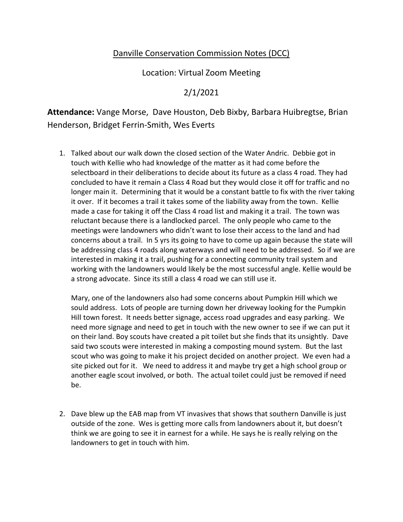## Danville Conservation Commission Notes (DCC)

Location: Virtual Zoom Meeting

## 2/1/2021

**Attendance:** Vange Morse, Dave Houston, Deb Bixby, Barbara Huibregtse, Brian Henderson, Bridget Ferrin-Smith, Wes Everts

1. Talked about our walk down the closed section of the Water Andric. Debbie got in touch with Kellie who had knowledge of the matter as it had come before the selectboard in their deliberations to decide about its future as a class 4 road. They had concluded to have it remain a Class 4 Road but they would close it off for traffic and no longer main it. Determining that it would be a constant battle to fix with the river taking it over. If it becomes a trail it takes some of the liability away from the town. Kellie made a case for taking it off the Class 4 road list and making it a trail. The town was reluctant because there is a landlocked parcel. The only people who came to the meetings were landowners who didn't want to lose their access to the land and had concerns about a trail. In 5 yrs its going to have to come up again because the state will be addressing class 4 roads along waterways and will need to be addressed. So if we are interested in making it a trail, pushing for a connecting community trail system and working with the landowners would likely be the most successful angle. Kellie would be a strong advocate. Since its still a class 4 road we can still use it.

Mary, one of the landowners also had some concerns about Pumpkin Hill which we sould address. Lots of people are turning down her driveway looking for the Pumpkin Hill town forest. It needs better signage, access road upgrades and easy parking. We need more signage and need to get in touch with the new owner to see if we can put it on their land. Boy scouts have created a pit toilet but she finds that its unsightly. Dave said two scouts were interested in making a composting mound system. But the last scout who was going to make it his project decided on another project. We even had a site picked out for it. We need to address it and maybe try get a high school group or another eagle scout involved, or both. The actual toilet could just be removed if need be.

2. Dave blew up the EAB map from VT invasives that shows that southern Danville is just outside of the zone. Wes is getting more calls from landowners about it, but doesn't think we are going to see it in earnest for a while. He says he is really relying on the landowners to get in touch with him.